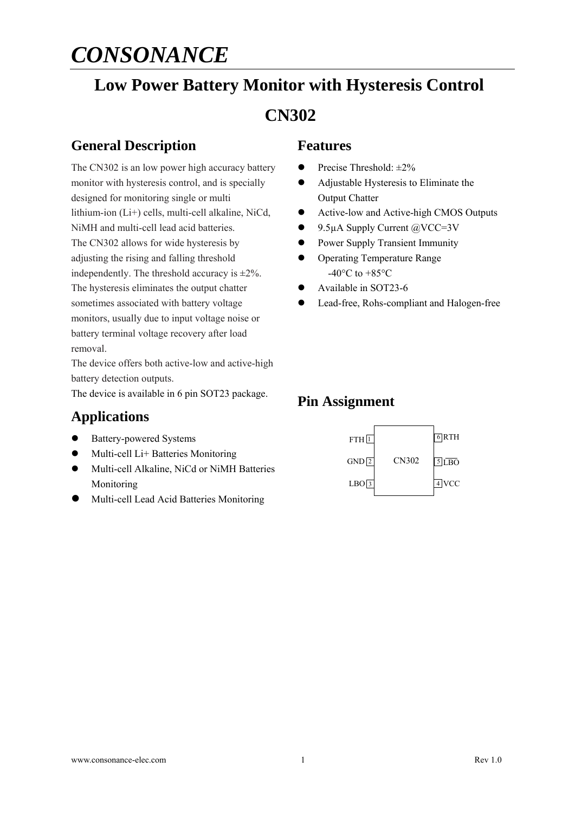# **Low Power Battery Monitor with Hysteresis Control CN302**

## **General Description**

The CN302 is an low power high accuracy battery monitor with hysteresis control, and is specially designed for monitoring single or multi lithium-ion (Li+) cells, multi-cell alkaline, NiCd, NiMH and multi-cell lead acid batteries. The CN302 allows for wide hysteresis by adjusting the rising and falling threshold independently. The threshold accuracy is  $\pm 2\%$ . The hysteresis eliminates the output chatter sometimes associated with battery voltage monitors, usually due to input voltage noise or battery terminal voltage recovery after load removal.

The device offers both active-low and active-high battery detection outputs.

The device is available in 6 pin SOT23 package.

#### **Applications**

- Battery-powered Systems
- Multi-cell Li+ Batteries Monitoring
- $\bullet$  Multi-cell Alkaline, NiCd or NiMH Batteries Monitoring
- Multi-cell Lead Acid Batteries Monitoring

#### **Features**

- Precise Threshold:  $\pm 2\%$
- Adjustable Hysteresis to Eliminate the Output Chatter
- Active-low and Active-high CMOS Outputs
- 9.5uA Supply Current @VCC=3V
- **•** Power Supply Transient Immunity
- **•** Operating Temperature Range  $-40\degree$ C to  $+85\degree$ C
- Available in SOT23-6
- Lead-free, Rohs-compliant and Halogen-free

## **Pin Assignment**

| $FTH$ <sup>1</sup> |       | $6$ <sub>RTH</sub> |
|--------------------|-------|--------------------|
| $GND$ <sup>2</sup> | CN302 | $5$ LBO            |
| LBO <sub>3</sub>   |       | $\overline{4}$ VCC |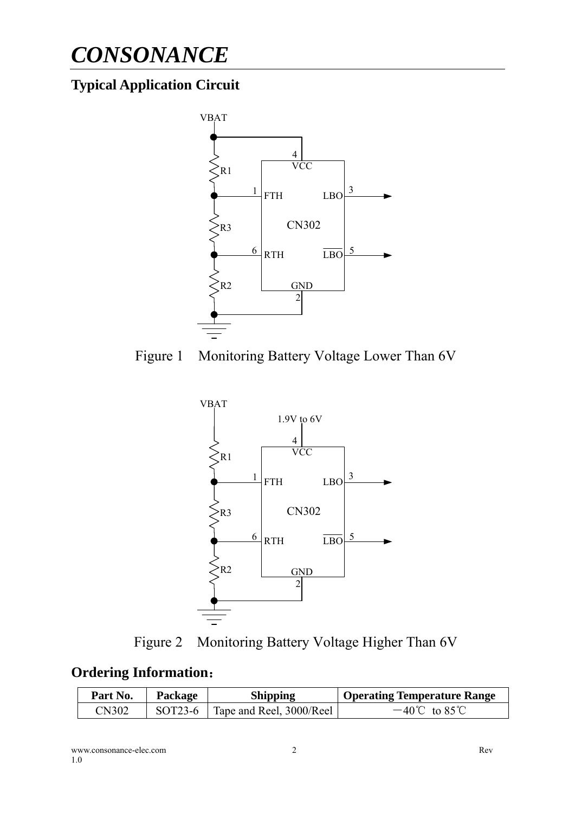## **Typical Application Circuit**









#### **Ordering Information**:

| Part No.     | Package | <b>Shipping</b>                    | Operating Temperature Range |
|--------------|---------|------------------------------------|-----------------------------|
| <b>CN302</b> |         | SOT23-6   Tape and Reel, 3000/Reel | $-40^{\circ}$ C to 85 °C    |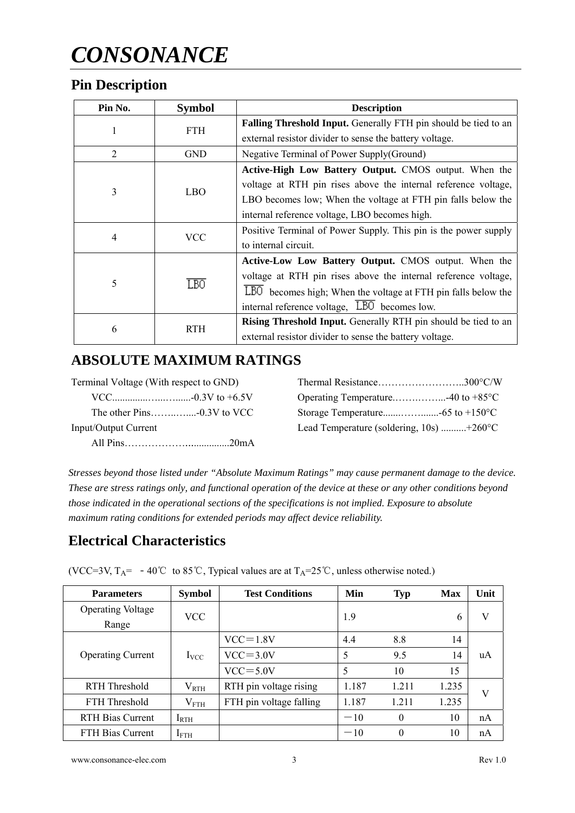## **Pin Description**

| Pin No.               | <b>Symbol</b> | <b>Description</b>                                                    |
|-----------------------|---------------|-----------------------------------------------------------------------|
| 1                     | <b>FTH</b>    | Falling Threshold Input. Generally FTH pin should be tied to an       |
|                       |               | external resistor divider to sense the battery voltage.               |
| 2                     | <b>GND</b>    | Negative Terminal of Power Supply(Ground)                             |
|                       |               | Active-High Low Battery Output. CMOS output. When the                 |
|                       | LBO           | voltage at RTH pin rises above the internal reference voltage,        |
| 3                     |               | LBO becomes low; When the voltage at FTH pin falls below the          |
|                       |               | internal reference voltage, LBO becomes high.                         |
| VCC<br>$\overline{4}$ |               | Positive Terminal of Power Supply. This pin is the power supply       |
|                       |               | to internal circuit.                                                  |
|                       |               | Active-Low Low Battery Output. CMOS output. When the                  |
| 5                     |               | voltage at RTH pin rises above the internal reference voltage,        |
|                       | LBO           | LBO becomes high; When the voltage at FTH pin falls below the         |
|                       |               | internal reference voltage, $\overline{LBO}$ becomes low.             |
|                       |               | <b>Rising Threshold Input.</b> Generally RTH pin should be tied to an |
| 6                     | <b>RTH</b>    | external resistor divider to sense the battery voltage.               |

## **ABSOLUTE MAXIMUM RATINGS**

| Terminal Voltage (With respect to GND) |                                                        |  |
|----------------------------------------|--------------------------------------------------------|--|
|                                        |                                                        |  |
|                                        |                                                        |  |
| <b>Input/Output Current</b>            | Lead Temperature (soldering, $10s$ ) +260 $^{\circ}$ C |  |
|                                        |                                                        |  |

*Stresses beyond those listed under "Absolute Maximum Ratings" may cause permanent damage to the device. These are stress ratings only, and functional operation of the device at these or any other conditions beyond those indicated in the operational sections of the specifications is not implied. Exposure to absolute maximum rating conditions for extended periods may affect device reliability.* 

## **Electrical Characteristics**

(VCC=3V,  $T_A$ = -40°C to 85°C, Typical values are at  $T_A$ =25°C, unless otherwise noted.)

| <b>Parameters</b>        | <b>Symbol</b>  | <b>Test Conditions</b>  | Min   | Typ      | <b>Max</b> | Unit |
|--------------------------|----------------|-------------------------|-------|----------|------------|------|
| <b>Operating Voltage</b> | <b>VCC</b>     |                         | 1.9   |          | 6          | V    |
| Range                    |                |                         |       |          |            |      |
| <b>Operating Current</b> |                | $VCC = 1.8V$            | 4.4   | 8.8      | 14         |      |
|                          | $I_{VCC}$      | $VCC = 3.0V$            | 5     | 9.5      | 14         | uA   |
|                          |                | $VCC = 5.0V$            | 5     | 10       | 15         |      |
| RTH Threshold            | $V_{RTH}$      | RTH pin voltage rising  | 1.187 | 1.211    | 1.235      | V    |
| FTH Threshold            | $\rm V_{FTH}$  | FTH pin voltage falling | 1.187 | 1.211    | 1.235      |      |
| RTH Bias Current         | $I_{\rm RTH}$  |                         | $-10$ | $\Omega$ | 10         | nA   |
| <b>FTH Bias Current</b>  | $I_{\rm{FTH}}$ |                         | $-10$ | $\theta$ | 10         | nA   |

www.consonance-elec.com 3 Rev 1.0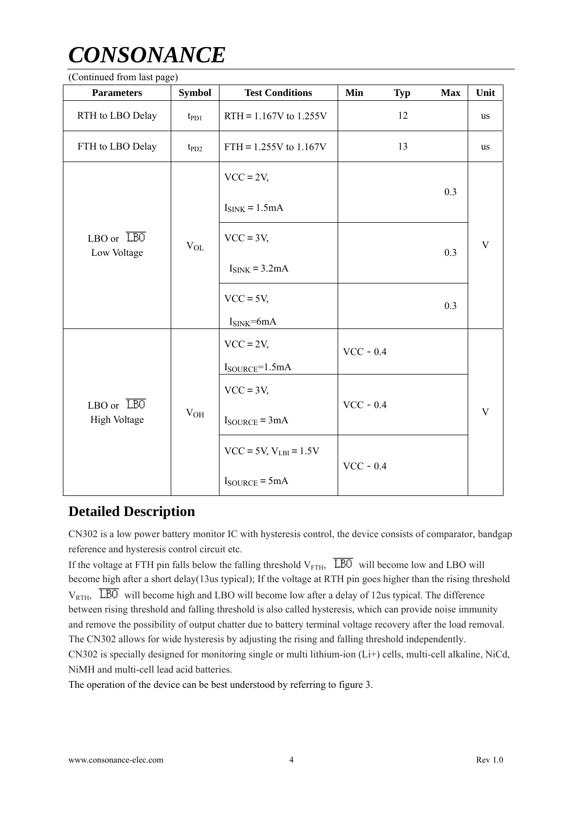#### (Continued from last page)

| r 70 - 1<br><b>Parameters</b>             | <b>Symbol</b>   | <b>Test Conditions</b>              | Min<br><b>Typ</b> | <b>Max</b> | Unit        |
|-------------------------------------------|-----------------|-------------------------------------|-------------------|------------|-------------|
| RTH to LBO Delay                          | $t_{\rm PD1}$   | RTH = $1.167V$ to $1.255V$          | 12                |            | <b>us</b>   |
| FTH to LBO Delay                          | $t_{PD2}$       | FTH = $1.255V$ to $1.167V$          | 13                |            | us          |
| $LBO$ or $\overline{LBO}$<br>Low Voltage  |                 | $VCC = 2V$                          |                   |            | V           |
|                                           |                 | $I_{\text{SINK}} = 1.5 \text{mA}$   |                   | 0.3        |             |
|                                           | $V_{OL}$        | $VCC = 3V,$                         |                   | 0.3        |             |
|                                           |                 | $ISINK = 3.2mA$                     |                   |            |             |
|                                           |                 | $VCC = 5V$ ,                        |                   | 0.3        |             |
|                                           |                 | $ISINK=6mA$                         |                   |            |             |
|                                           |                 | $VCC = 2V$                          | $VCC - 0.4$       |            |             |
|                                           |                 | $I_{\text{SOURCE}} = 1.5 \text{mA}$ |                   |            |             |
| $LBO$ or $\overline{LBO}$<br>High Voltage |                 | $VCC = 3V,$                         |                   |            |             |
|                                           | V <sub>OH</sub> | $I_{\text{SOURCE}} = 3mA$           | $VCC - 0.4$       |            | $\mathbf V$ |
|                                           |                 | $VCC = 5V, V_{LBI} = 1.5V$          |                   |            |             |
|                                           |                 | $I_{\text{SOURCE}} = 5 \text{mA}$   | $VCC - 0.4$       |            |             |

#### **Detailed Description**

CN302 is a low power battery monitor IC with hysteresis control, the device consists of comparator, bandgap reference and hysteresis control circuit etc.

If the voltage at FTH pin falls below the falling threshold  $V_{\text{FTH}}$ ,  $\overline{LBO}$  will become low and LBO will become high after a short delay(13us typical); If the voltage at RTH pin goes higher than the rising threshold  $V_{\text{RTH}}$ ,  $\overline{LBO}$  will become high and LBO will become low after a delay of 12us typical. The difference between rising threshold and falling threshold is also called hysteresis, which can provide noise immunity and remove the possibility of output chatter due to battery terminal voltage recovery after the load removal. The CN302 allows for wide hysteresis by adjusting the rising and falling threshold independently. CN302 is specially designed for monitoring single or multi lithium-ion (Li+) cells, multi-cell alkaline, NiCd, NiMH and multi-cell lead acid batteries.

The operation of the device can be best understood by referring to figure 3.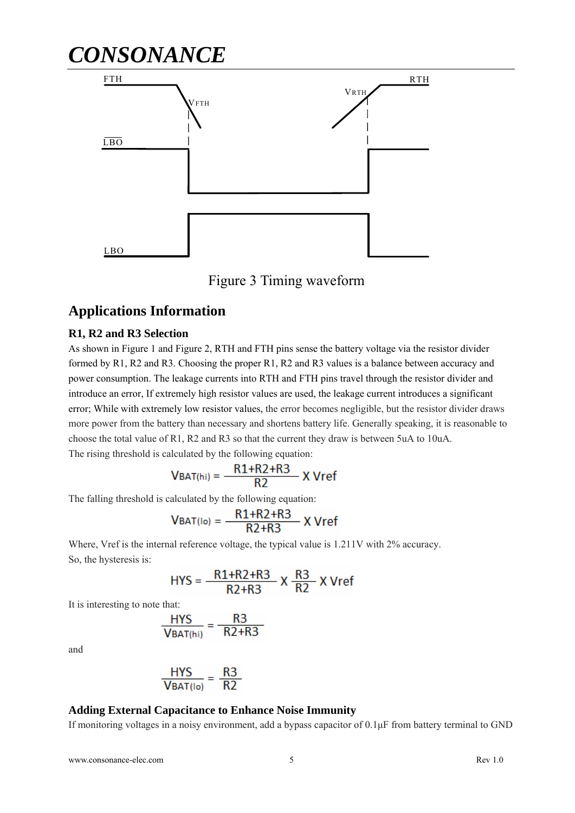# *CONSONANCE* FTH VFTH **VRTH** LBO RTH LBO



#### **Applications Information**

#### **R1, R2 and R3 Selection**

As shown in Figure 1 and Figure 2, RTH and FTH pins sense the battery voltage via the resistor divider formed by R1, R2 and R3. Choosing the proper R1, R2 and R3 values is a balance between accuracy and power consumption. The leakage currents into RTH and FTH pins travel through the resistor divider and introduce an error, If extremely high resistor values are used, the leakage current introduces a significant error; While with extremely low resistor values, the error becomes negligible, but the resistor divider draws more power from the battery than necessary and shortens battery life. Generally speaking, it is reasonable to choose the total value of R1, R2 and R3 so that the current they draw is between 5uA to 10uA. The rising threshold is calculated by the following equation:

$$
V_{BAT(hi)} = \frac{R1 + R2 + R3}{R2}
$$
 X Vref

The falling threshold is calculated by the following equation:

$$
VBAT(lo) = \frac{R1 + R2 + R3}{R2 + R3}
$$
X Vref

Where, Vref is the internal reference voltage, the typical value is 1.211V with 2% accuracy. So, the hysteresis is:

$$
HYS = \frac{R1 + R2 + R3}{R2 + R3} \times \frac{R3}{R2} \times Vref
$$

It is interesting to note that:

$$
\frac{HYS}{VBAT(hi)} = \frac{R3}{R2+R3}
$$

and

$$
\frac{HYS}{VBAT(10)} = \frac{R3}{R2}
$$

ł,

#### **Adding External Capacitance to Enhance Noise Immunity**

If monitoring voltages in a noisy environment, add a bypass capacitor of 0.1μF from battery terminal to GND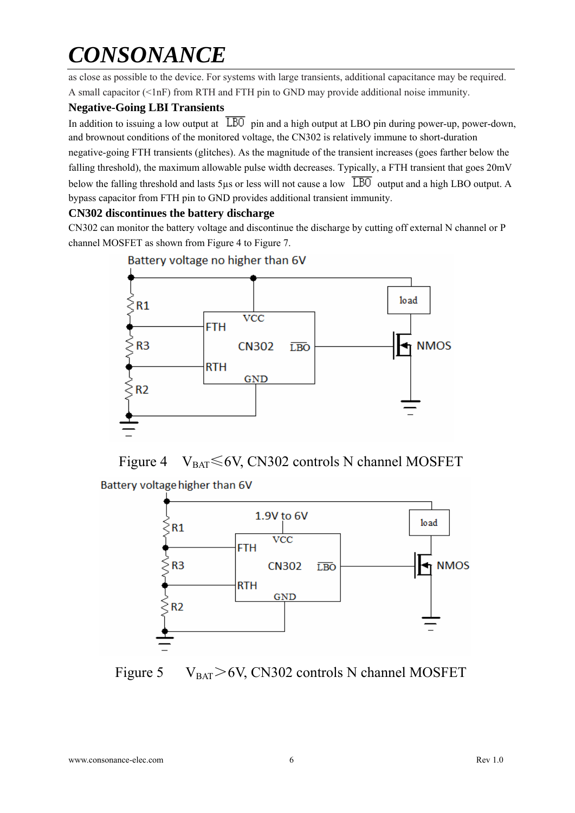as close as possible to the device. For systems with large transients, additional capacitance may be required. A small capacitor (<1nF) from RTH and FTH pin to GND may provide additional noise immunity.

#### **Negative-Going LBI Transients**

In addition to issuing a low output at  $\overline{LBO}$  pin and a high output at LBO pin during power-up, power-down, and brownout conditions of the monitored voltage, the CN302 is relatively immune to short-duration negative-going FTH transients (glitches). As the magnitude of the transient increases (goes farther below the falling threshold), the maximum allowable pulse width decreases. Typically, a FTH transient that goes  $20mV$ below the falling threshold and lasts 5us or less will not cause a low  $\overline{LBO}$  output and a high LBO output. A bypass capacitor from FTH pin to GND provides additional transient immunity.

#### **CN302 discontinues the battery discharge**

CN302 can monitor the battery voltage and discontinue the discharge by cutting off external N channel or P channel MOSFET as shown from Figure 4 to Figure 7.









Figure 5  $V_{BAT} > 6V$ , CN302 controls N channel MOSFET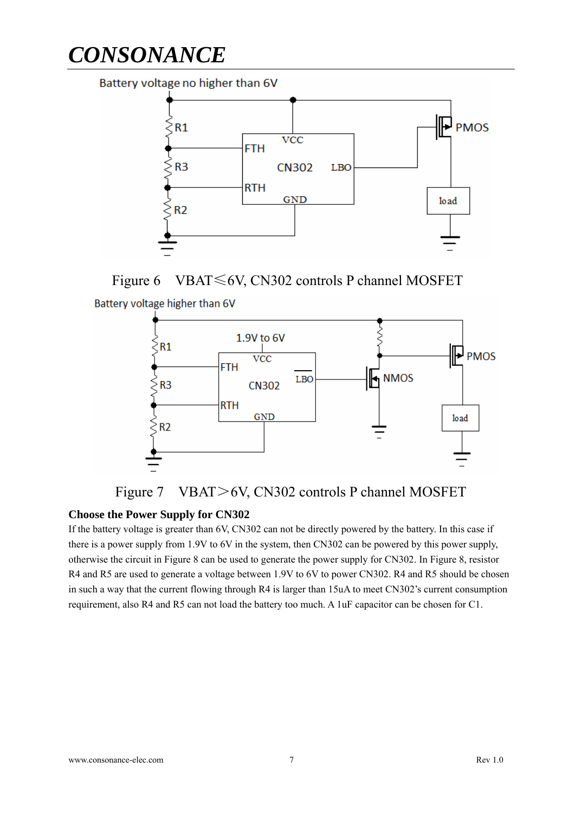Battery voltage no higher than 6V



Figure 6 VBAT≤6V, CN302 controls P channel MOSFET







#### **Choose the Power Supply for CN302**

If the battery voltage is greater than 6V, CN302 can not be directly powered by the battery. In this case if there is a power supply from 1.9V to 6V in the system, then CN302 can be powered by this power supply, otherwise the circuit in Figure 8 can be used to generate the power supply for CN302. In Figure 8, resistor R4 and R5 are used to generate a voltage between 1.9V to 6V to power CN302. R4 and R5 should be chosen in such a way that the current flowing through R4 is larger than 15uA to meet CN302's current consumption requirement, also R4 and R5 can not load the battery too much. A 1uF capacitor can be chosen for C1.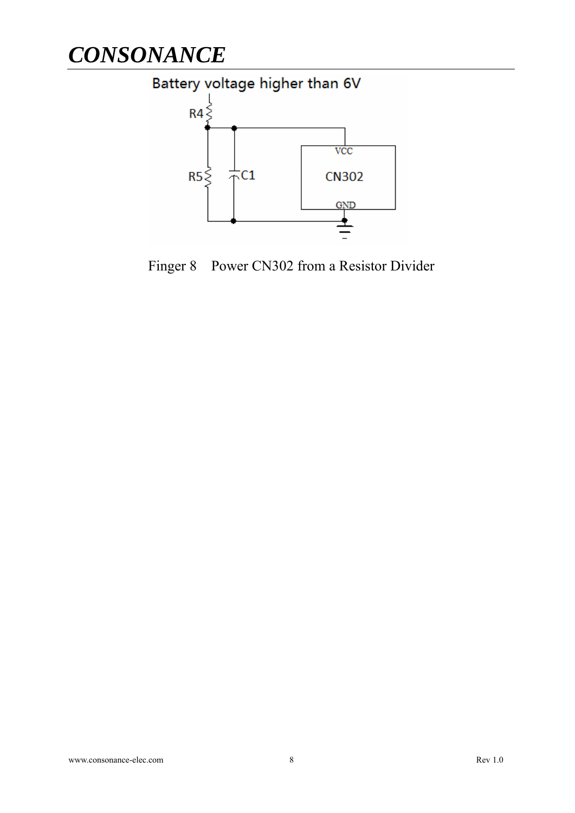

Finger 8 Power CN302 from a Resistor Divider